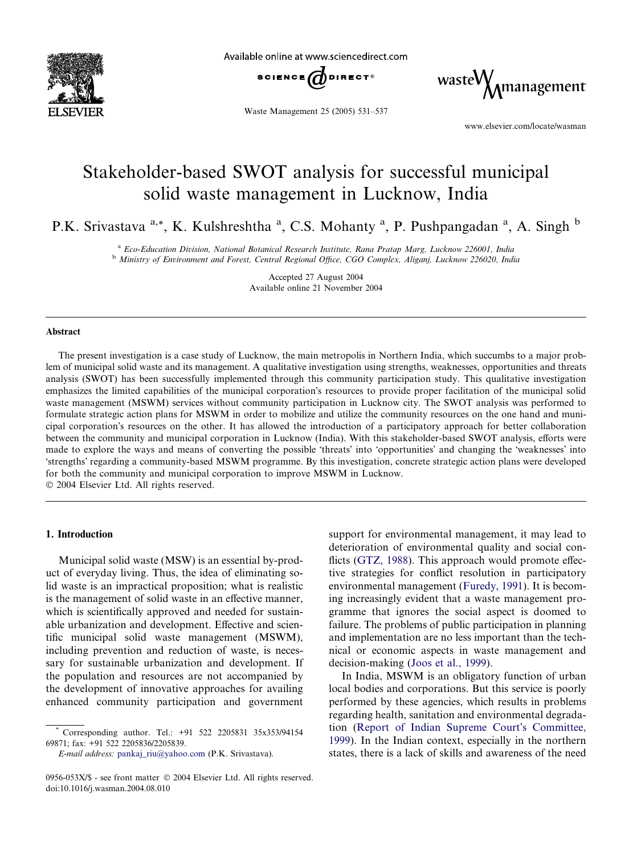

Available online at www.sciencedirect.com



Waste Management 25 (2005) 531–537

 ${\rm waste} \begin{matrix} \\ \text{M} \\ \text{m} \\ \text{m} \\ \end{matrix}$ 

www.elsevier.com/locate/wasman

## Stakeholder-based SWOT analysis for successful municipal solid waste management in Lucknow, India

P.K. Srivastava <sup>a,\*</sup>, K. Kulshreshtha <sup>a</sup>, C.S. Mohanty <sup>a</sup>, P. Pushpangadan <sup>a</sup>, A. Singh <sup>b</sup>

<sup>a</sup> Eco-Education Division, National Botanical Research Institute, Rana Pratap Marg, Lucknow 226001, India <sup>b</sup> Ministry of Environment and Forest, Central Regional Office, CGO Complex, Aliganj, Lucknow 226020, India

> Accepted 27 August 2004 Available online 21 November 2004

## Abstract

The present investigation is a case study of Lucknow, the main metropolis in Northern India, which succumbs to a major problem of municipal solid waste and its management. A qualitative investigation using strengths, weaknesses, opportunities and threats analysis (SWOT) has been successfully implemented through this community participation study. This qualitative investigation emphasizes the limited capabilities of the municipal corporation's resources to provide proper facilitation of the municipal solid waste management (MSWM) services without community participation in Lucknow city. The SWOT analysis was performed to formulate strategic action plans for MSWM in order to mobilize and utilize the community resources on the one hand and municipal corporation's resources on the other. It has allowed the introduction of a participatory approach for better collaboration between the community and municipal corporation in Lucknow (India). With this stakeholder-based SWOT analysis, efforts were made to explore the ways and means of converting the possible 'threats' into 'opportunities' and changing the 'weaknesses' into -strengths regarding a community-based MSWM programme. By this investigation, concrete strategic action plans were developed for both the community and municipal corporation to improve MSWM in Lucknow.

2004 Elsevier Ltd. All rights reserved.

## 1. Introduction

Municipal solid waste (MSW) is an essential by-product of everyday living. Thus, the idea of eliminating solid waste is an impractical proposition; what is realistic is the management of solid waste in an effective manner, which is scientifically approved and needed for sustainable urbanization and development. Effective and scientific municipal solid waste management (MSWM), including prevention and reduction of waste, is necessary for sustainable urbanization and development. If the population and resources are not accompanied by the development of innovative approaches for availing enhanced community participation and government

support for environmental management, it may lead to deterioration of environmental quality and social con-flicts ([GTZ, 1988](#page--1-0)). This approach would promote effective strategies for conflict resolution in participatory environmental management ([Furedy, 1991](#page--1-0)). It is becoming increasingly evident that a waste management programme that ignores the social aspect is doomed to failure. The problems of public participation in planning and implementation are no less important than the technical or economic aspects in waste management and decision-making ([Joos et al., 1999\)](#page--1-0).

In India, MSWM is an obligatory function of urban local bodies and corporations. But this service is poorly performed by these agencies, which results in problems regarding health, sanitation and environmental degrada-tion [\(Report of Indian Supreme Court](#page--1-0)'s Committee, [1999](#page--1-0)). In the Indian context, especially in the northern states, there is a lack of skills and awareness of the need

<sup>\*</sup> Corresponding author. Tel.: +91 522 2205831 35x353/94154 69871; fax: +91 522 2205836/2205839.

E-mail address: [pankaj\\_riu@yahoo.com](mailto:pankaj_riu@yahoo.com ) (P.K. Srivastava).

<sup>0956-053</sup>X/\$ - see front matter © 2004 Elsevier Ltd. All rights reserved. doi:10.1016/j.wasman.2004.08.010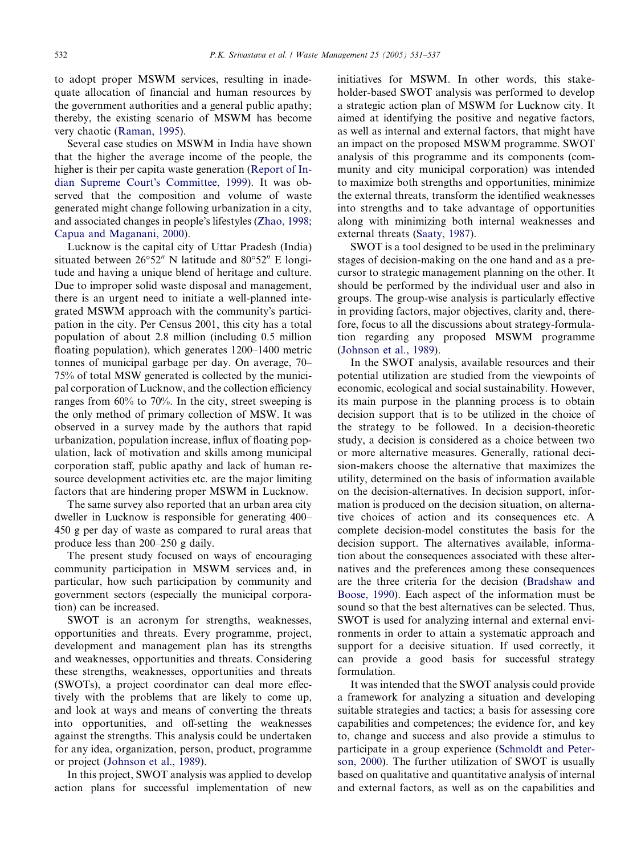to adopt proper MSWM services, resulting in inadequate allocation of financial and human resources by the government authorities and a general public apathy; thereby, the existing scenario of MSWM has become very chaotic ([Raman, 1995\)](#page--1-0).

Several case studies on MSWM in India have shown that the higher the average income of the people, the higher is their per capita waste generation ([Report of In](#page--1-0)[dian Supreme Court](#page--1-0)'s Committee, 1999). It was observed that the composition and volume of waste generated might change following urbanization in a city, and associated changes in people's lifestyles [\(Zhao, 1998;](#page--1-0) [Capua and Maganani, 2000](#page--1-0)).

Lucknow is the capital city of Uttar Pradesh (India) situated between  $26^{\circ}52''$  N latitude and  $80^{\circ}52''$  E longitude and having a unique blend of heritage and culture. Due to improper solid waste disposal and management, there is an urgent need to initiate a well-planned integrated MSWM approach with the community's participation in the city. Per Census 2001, this city has a total population of about 2.8 million (including 0.5 million floating population), which generates 1200–1400 metric tonnes of municipal garbage per day. On average, 70– 75% of total MSW generated is collected by the municipal corporation of Lucknow, and the collection efficiency ranges from 60% to 70%. In the city, street sweeping is the only method of primary collection of MSW. It was observed in a survey made by the authors that rapid urbanization, population increase, influx of floating population, lack of motivation and skills among municipal corporation staff, public apathy and lack of human resource development activities etc. are the major limiting factors that are hindering proper MSWM in Lucknow.

The same survey also reported that an urban area city dweller in Lucknow is responsible for generating 400– 450 g per day of waste as compared to rural areas that produce less than 200–250 g daily.

The present study focused on ways of encouraging community participation in MSWM services and, in particular, how such participation by community and government sectors (especially the municipal corporation) can be increased.

SWOT is an acronym for strengths, weaknesses, opportunities and threats. Every programme, project, development and management plan has its strengths and weaknesses, opportunities and threats. Considering these strengths, weaknesses, opportunities and threats (SWOTs), a project coordinator can deal more effectively with the problems that are likely to come up, and look at ways and means of converting the threats into opportunities, and off-setting the weaknesses against the strengths. This analysis could be undertaken for any idea, organization, person, product, programme or project ([Johnson et al., 1989](#page--1-0)).

In this project, SWOT analysis was applied to develop action plans for successful implementation of new initiatives for MSWM. In other words, this stakeholder-based SWOT analysis was performed to develop a strategic action plan of MSWM for Lucknow city. It aimed at identifying the positive and negative factors, as well as internal and external factors, that might have an impact on the proposed MSWM programme. SWOT analysis of this programme and its components (community and city municipal corporation) was intended to maximize both strengths and opportunities, minimize the external threats, transform the identified weaknesses into strengths and to take advantage of opportunities along with minimizing both internal weaknesses and external threats ([Saaty, 1987\)](#page--1-0).

SWOT is a tool designed to be used in the preliminary stages of decision-making on the one hand and as a precursor to strategic management planning on the other. It should be performed by the individual user and also in groups. The group-wise analysis is particularly effective in providing factors, major objectives, clarity and, therefore, focus to all the discussions about strategy-formulation regarding any proposed MSWM programme ([Johnson et al., 1989](#page--1-0)).

In the SWOT analysis, available resources and their potential utilization are studied from the viewpoints of economic, ecological and social sustainability. However, its main purpose in the planning process is to obtain decision support that is to be utilized in the choice of the strategy to be followed. In a decision-theoretic study, a decision is considered as a choice between two or more alternative measures. Generally, rational decision-makers choose the alternative that maximizes the utility, determined on the basis of information available on the decision-alternatives. In decision support, information is produced on the decision situation, on alternative choices of action and its consequences etc. A complete decision-model constitutes the basis for the decision support. The alternatives available, information about the consequences associated with these alternatives and the preferences among these consequences are the three criteria for the decision [\(Bradshaw and](#page--1-0) [Boose, 1990](#page--1-0)). Each aspect of the information must be sound so that the best alternatives can be selected. Thus, SWOT is used for analyzing internal and external environments in order to attain a systematic approach and support for a decisive situation. If used correctly, it can provide a good basis for successful strategy formulation.

It was intended that the SWOT analysis could provide a framework for analyzing a situation and developing suitable strategies and tactics; a basis for assessing core capabilities and competences; the evidence for, and key to, change and success and also provide a stimulus to participate in a group experience ([Schmoldt and Peter](#page--1-0)[son, 2000](#page--1-0)). The further utilization of SWOT is usually based on qualitative and quantitative analysis of internal and external factors, as well as on the capabilities and